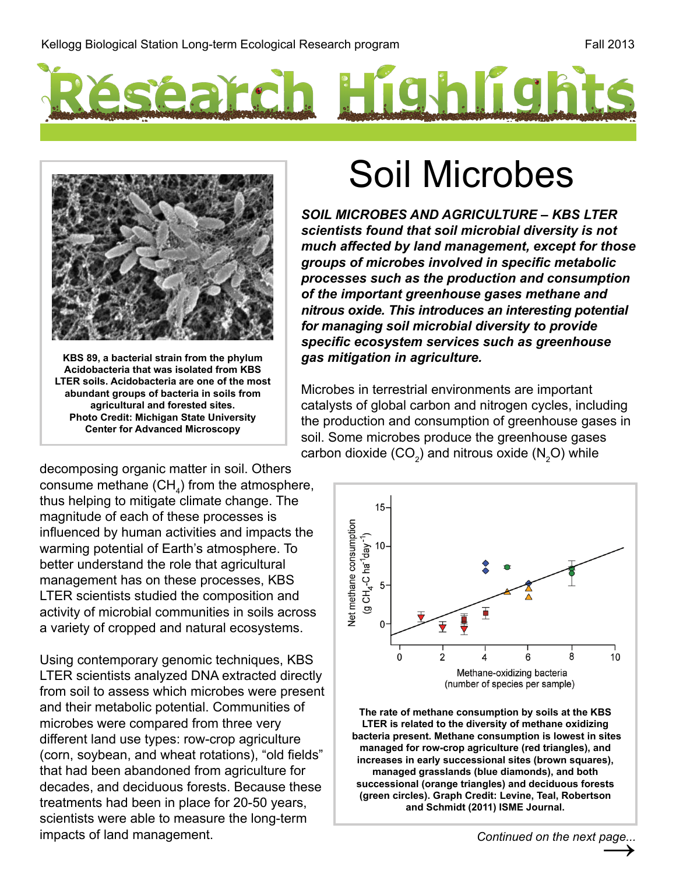



**KBS 89, a bacterial strain from the phylum Acidobacteria that was isolated from KBS LTER soils. Acidobacteria are one of the most abundant groups of bacteria in soils from agricultural and forested sites. Photo Credit: Michigan State University Center for Advanced Microscopy**

decomposing organic matter in soil. Others consume methane  $\left(\text{CH}_4\right)$  from the atmosphere, thus helping to mitigate climate change. The magnitude of each of these processes is influenced by human activities and impacts the warming potential of Earth's atmosphere. To better understand the role that agricultural management has on these processes, KBS LTER scientists studied the composition and activity of microbial communities in soils across a variety of cropped and natural ecosystems.

Using contemporary genomic techniques, KBS LTER scientists analyzed DNA extracted directly from soil to assess which microbes were present and their metabolic potential. Communities of microbes were compared from three very different land use types: row-crop agriculture (corn, soybean, and wheat rotations), "old fields" that had been abandoned from agriculture for decades, and deciduous forests. Because these treatments had been in place for 20-50 years, scientists were able to measure the long-term impacts of land management.

## Soil Microbes

*SOIL MICROBES AND AGRICULTURE – KBS LTER scientists found that soil microbial diversity is not much affected by land management, except for those groups of microbes involved in specific metabolic processes such as the production and consumption of the important greenhouse gases methane and nitrous oxide. This introduces an interesting potential for managing soil microbial diversity to provide specific ecosystem services such as greenhouse gas mitigation in agriculture.*

Microbes in terrestrial environments are important catalysts of global carbon and nitrogen cycles, including the production and consumption of greenhouse gases in soil. Some microbes produce the greenhouse gases carbon dioxide (CO<sub>2</sub>) and nitrous oxide (N<sub>2</sub>O) while



**The rate of methane consumption by soils at the KBS LTER is related to the diversity of methane oxidizing bacteria present. Methane consumption is lowest in sites managed for row-crop agriculture (red triangles), and increases in early successional sites (brown squares), managed grasslands (blue diamonds), and both successional (orange triangles) and deciduous forests (green circles). Graph Credit: Levine, Teal, Robertson and Schmidt (2011) ISME Journal.**